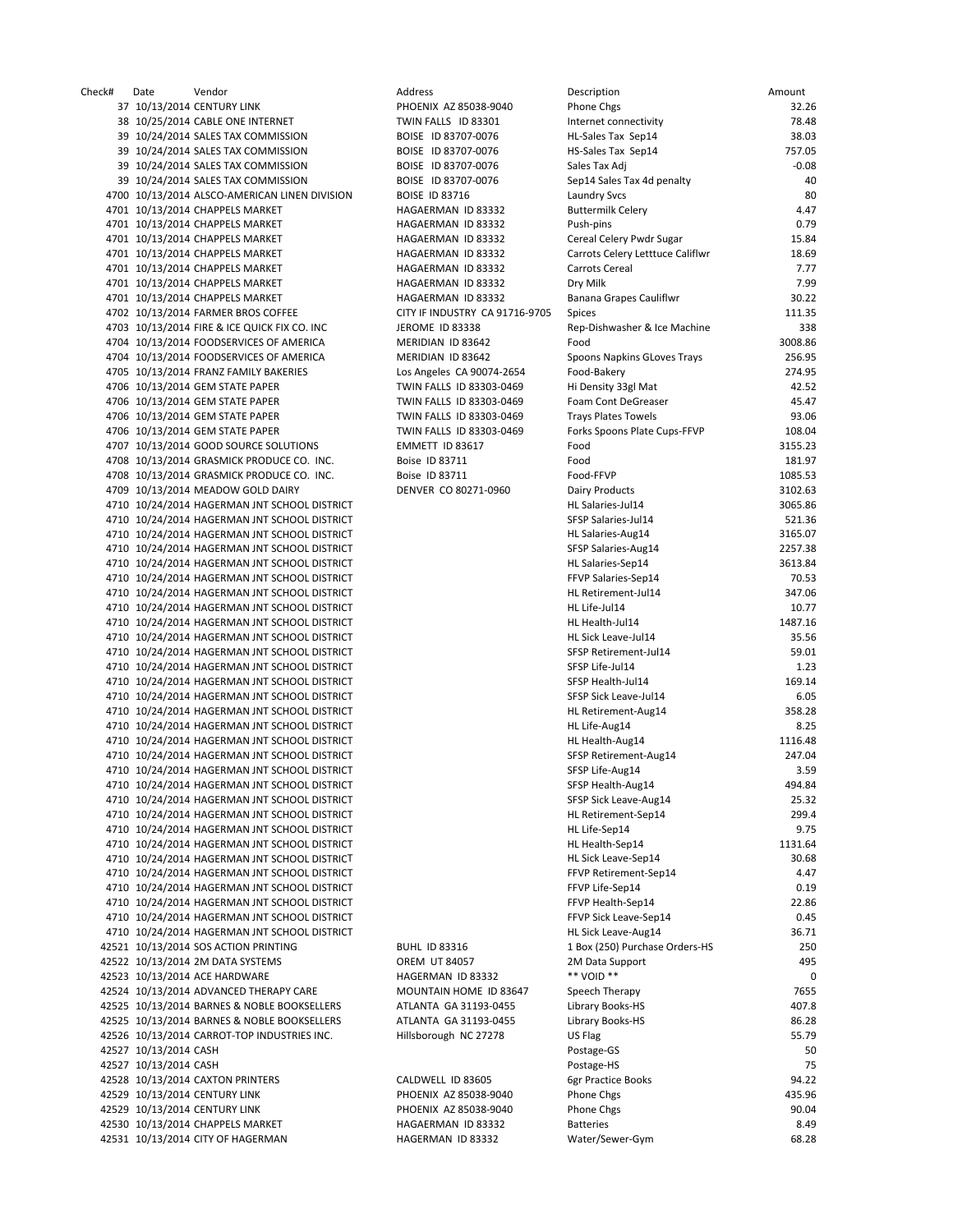Check# Date Vendor Address Description Amount 37 10/13/2014 CENTURY LINK **PHOENIX AZ 85038-9040** P 38 10/25/2014 CABLE ONE INTERNET TWIN FALLS ID 83301 In 39 10/24/2014 SALES TAX COMMISSION BOISE ID 83707-0076 H 39 10/24/2014 SALES TAX COMMISSION BOISE ID 83707-0076 H 39 10/24/2014 SALES TAX COMMISSION BOISE ID 83707-0076 Sa 39 10/24/2014 SALES TAX COMMISSION BOISE ID 83707-0076 Sep 4700 10/13/2014 ALSCO-AMERICAN LINEN DIVISION BOISE ID 83716 La 4701 10/13/2014 CHAPPELS MARKET HAGAERMAN ID 83332 B 4701 10/13/2014 CHAPPELS MARKET HAGAERMAN ID 83332 PI 4701 10/13/2014 CHAPPELS MARKET HAGAERMAN ID 83332 C 4701 10/13/2014 CHAPPELS MARKET HAGAERMAN ID 83332 C 4701 10/13/2014 CHAPPELS MARKET HAGAERMAN ID 83332 C. 4701 10/13/2014 CHAPPELS MARKET HAGAERMAN ID 83332 D 4701 10/13/2014 CHAPPELS MARKET HAGAERMAN ID 83332 B 4702 10/13/2014 FARMER BROS COFFEE CITY IF INDUSTRY CA 91716-9705 Si 4703 10/13/2014 FIRE & ICE QUICK FIX CO. INC JEROME ID 83338 Rep. 4704 10/13/2014 FOODSERVICES OF AMERICA MERIDIAN ID 83642 F 4704 10/13/2014 FOODSERVICES OF AMERICA MERIDIAN ID 83642 4705 10/13/2014 FRANZ FAMILY BAKERIES Los Angeles CA 90074-2654 F 4706 10/13/2014 GEM STATE PAPER TWIN FALLS ID 83303-0469 Hi 4706 10/13/2014 GEM STATE PAPER TWIN FALLS ID 83303-0469 F 4706 10/13/2014 GEM STATE PAPER TWIN FALLS ID 83303-0469 TH 4706 10/13/2014 GEM STATE PAPER TWIN FALLS ID 83303-0469 F 4707 10/13/2014 GOOD SOURCE SOLUTIONS EMMETT ID 83617 FOOD 3155.23 4708 10/13/2014 GRASMICK PRODUCE CO. INC. Boise ID 83711 F 4708 10/13/2014 GRASMICK PRODUCE CO. INC. Boise ID 83711 F 4709 10/13/2014 MEADOW GOLD DAIRY DENVER CO 80271-0960 D 4710 10/24/2014 HAGERMAN JNT SCHOOL DISTRICT HARD STATES OF SALARIES 4710 10/24/2014 HAGERMAN JNT SCHOOL DISTRICT SALARY SALARIES 4710 10/24/2014 HAGERMAN JNT SCHOOL DISTRICT 
H 4710 10/24/2014 HAGERMAN JNT SCHOOL DISTRICT SALARY SALARIES 4710 10/24/2014 HAGERMAN JNT SCHOOL DISTRICT HAGERMAN JNT SALARIES 4710 10/24/2014 HAGERMAN JNT SCHOOL DISTRICT FASTER SALARIES 4710 10/24/2014 HAGERMAN JNT SCHOOL DISTRICT HARD HAGERMAN JNT SCHOOL DISTRICT 4710 10/24/2014 HAGERMAN JNT SCHOOL DISTRICT HARD LIFE CHOOL DISTRICT 4710 10/24/2014 HAGERMAN JNT SCHOOL DISTRICT HEALTH HEALTH HEALTH HEALTH HEALTH HEALTH HEALTH HEALTH HEALTH HE 4710 10/24/2014 HAGERMAN JNT SCHOOL DISTRICT HARD STATES AND THE STATE RESERVE H 4710 10/24/2014 HAGERMAN JNT SCHOOL DISTRICT **SESPENDENT** S 4710 10/24/2014 HAGERMAN JNT SCHOOL DISTRICT SINCE AND ASSESSED A SINCE A SINCE A SINCE A SINCE AND A SINCE A SI 4710 10/24/2014 HAGERMAN JNT SCHOOL DISTRICT STATES AND REAL TO STATE STATES A STATE AND REAL TO STATE A STATE OF STATES AND REAL TO STATE A STATE OF STATES AND REAL TO STATE A STATE OF STATES AND REAL TO STATE A STATE OF 4710 10/24/2014 HAGERMAN JNT SCHOOL DISTRICT STATES AND RESERVE STATES STATES AND RESERVE STATES AND RESERVE STATES AND RESERVE STATES AND RESERVE STATES AND RESERVE STATES AND RESERVE STATES AND RESERVE STATES AND RESERVE 4710 10/24/2014 HAGERMAN JNT SCHOOL DISTRICT HAGERMAN JULIA 4710 10/24/2014 HAGERMAN JNT SCHOOL DISTRICT HARD LIFE CHOOL DISTRICT 4710 10/24/2014 HAGERMAN JNT SCHOOL DISTRICT HEALTH HEALTH HEALTH HEALTH HEALTH HEALTH HEALTH HEALTH HEALTH HE 4710 10/24/2014 HAGERMAN JNT SCHOOL DISTRICT STATEMENT STATEMENT STATEMENT STATEMENT STATEMENT STATEMENT STATEMENT STATEMENT STATEMENT STATEMENT STATEMENT STATEMENT STATEMENT STATEMENT STATEMENT STATEMENT STATEMENT STATEME 4710 10/24/2014 HAGERMAN JNT SCHOOL DISTRICT STATES AND RESERVE ASSESSED. 4710 10/24/2014 HAGERMAN JNT SCHOOL DISTRICT STATES HEALTH AND STATES AND ASSESSED ASSESSED. 4710 10/24/2014 HAGERMAN JNT SCHOOL DISTRICT SAME SIGNAL 2014 25.322.52 4710 10/24/2014 HAGERMAN JNT SCHOOL DISTRICT HAGERMAN JNT SCHOOL DISTRICT 4710 10/24/2014 HAGERMAN JNT SCHOOL DISTRICT HARD LIFE STATES AND RESERVED BY 4710 10/24/2014 HAGERMAN JNT SCHOOL DISTRICT HEALTH HEALTH HEALTH HEALTH HEALTH HEALTH HEALTH HEALTH HEALTH HE 4710 10/24/2014 HAGERMAN JNT SCHOOL DISTRICT HAGERMAN JNT SCHOOL DISTRICT 4710 10/24/2014 HAGERMAN JNT SCHOOL DISTRICT FTEED RETIREMENT RETAILS AND RETAILS RETAILS AT A SEPTEMBENT RETAILS AND RETAILS AND RETAILS AT A SEPTEMBENT RETAILS AND RETAILS AT A SEPTEMBENT RETAILS AND RETAILS AT A SEPTEMB 4710 10/24/2014 HAGERMAN JNT SCHOOL DISTRICT FOR LIFE LIFE CHOOL OF STRICT STATES AND RESIDENCE THE SEPTEMBER OF STRICT STATES AND RESIDENCE THE STATES OF STRICT STATES AND RESIDENCE THE STATES OF STATES AND RESIDENCE THE 4710 10/24/2014 HAGERMAN JNT SCHOOL DISTRICT FAGE HEALTH AND HEALTH HEALTH HEALTH F 4710 10/24/2014 HAGERMAN JNT SCHOOL DISTRICT **THE SIGN SIGNAL OF SIGN SIGNAL SIGNAL SIGNAL SIGNAL SIGNAL SIGNAL** 4710 10/24/2014 HAGERMAN JNT SCHOOL DISTRICT HARD STATES AND RESERVE AND RESERVE AND RESERVE AND RESERVE AND RE 42521 10/13/2014 SOS ACTION PRINTING BUHL ID 83316 1 42522 10/13/2014 2M DATA SYSTEMS **OREM UT 84057** 2M DATA SUPPORT 49522 10 42523 10/13/2014 ACE HARDWARE HAGERMAN ID 83332 42524 10/13/2014 ADVANCED THERAPY CARE MOUNTAIN HOME ID 83647 S 42525 10/13/2014 BARNES & NOBLE BOOKSELLERS ATLANTA GA 31193-0455 Li 42525 10/13/2014 BARNES & NOBLE BOOKSELLERS ATLANTA GA 31193-0455 Li 42526 10/13/2014 CARROT-TOP INDUSTRIES INC. Hillsborough NC 27278 U 42527 10/13/2014 CASH P 42527 10/13/2014 CASH P 42528 10/13/2014 CAXTON PRINTERS CALDWELL ID 83605 6 42529 10/13/2014 CENTURY LINK PHOENIX AZ 85038-9040 Phone Change Chega 435.96 Pho 42529 10/13/2014 CENTURY LINK PHOENIX AZ 85038-9040 P 42530 10/13/2014 CHAPPELS MARKET HAGAERMAN ID 83332 B 42531 10/13/2014 CITY OF HAGERMAN HAGERMAN HAGERMAN HAGERMAN V

| escription                          | Amount          |
|-------------------------------------|-----------------|
| hone Chgs                           | 32.26           |
| iternet connectivity                | 78.48           |
| L-Sales Tax Sep14                   | 38.03           |
| S-Sales Tax Sep14                   | 757.05          |
| ales Tax Adj                        | $-0.08$         |
| ep14 Sales Tax 4d penalty           | 40              |
| aundry Svcs                         | 80              |
| uttermilk Celery                    | 4.47<br>0.79    |
| ush-pins<br>ereal Celery Pwdr Sugar | 15.84           |
| arrots Celery Letttuce Califlwr     | 18.69           |
| arrots Cereal                       | 7.77            |
| ry Milk                             | 7.99            |
| anana Grapes Cauliflwr              | 30.22           |
| pices                               | 111.35          |
| ep-Dishwasher & Ice Machine         | 338             |
| ood                                 | 3008.86         |
| poons Napkins GLoves Trays          | 256.95          |
| ood-Bakery                          | 274.95          |
| i Density 33gl Mat                  | 42.52           |
| oam Cont DeGreaser                  | 45.47           |
| rays Plates Towels                  | 93.06           |
| orks Spoons Plate Cups-FFVP         | 108.04          |
| ood                                 | 3155.23         |
| ood                                 | 181.97          |
| ood-FFVP                            | 1085.53         |
| airy Products                       | 3102.63         |
| L Salaries-Jul14                    | 3065.86         |
| FSP Salaries-Jul14                  | 521.36          |
| L Salaries-Aug14                    | 3165.07         |
| FSP Salaries-Aug14                  | 2257.38         |
| L Salaries-Sep14                    | 3613.84         |
| FVP Salaries-Sep14                  | 70.53           |
| L Retirement-Jul14                  | 347.06          |
| L Life-Jul14                        | 10.77           |
| L Health-Jul14                      | 1487.16         |
| L Sick Leave-Jul14                  | 35.56           |
| FSP Retirement-Jul14                | 59.01           |
| FSP Life-Jul14                      | 1.23            |
| FSP Health-Jul14                    | 169.14          |
| FSP Sick Leave-Jul14                | 6.05            |
| L Retirement-Aug14                  | 358.28          |
| L Life-Aug14<br>L Health-Aug14      | 8.25<br>1116.48 |
| FSP Retirement-Aug14                | 247.04          |
| FSP Life-Aug14                      | 3.59            |
| FSP Health-Aug14                    | 494.84          |
| FSP Sick Leave-Aug14                | 25.32           |
| L Retirement-Sep14                  | 299.4           |
| L Life-Sep14                        | 9.75            |
| L Health-Sep14                      | 1131.64         |
| L Sick Leave-Sep14                  | 30.68           |
| FVP Retirement-Sep14                | 4.47            |
| FVP Life-Sep14                      | 0.19            |
| FVP Health-Sep14                    | 22.86           |
| FVP Sick Leave-Sep14                | 0.45            |
| L Sick Leave-Aug14                  | 36.71           |
| Box (250) Purchase Orders-HS        | 250             |
| M Data Support                      | 495             |
| * VOID **                           | O               |
| peech Therapy                       | 7655            |
| brary Books-HS                      | 407.8           |
| brary Books-HS                      | 86.28           |
| S Flag                              | 55.79           |
| ostage-GS                           | 50              |
| ostage-HS                           | 75              |
| gr Practice Books                   | 94.22           |
| hone Chgs                           | 435.96          |
| hone Chgs                           | 90.04           |
| atteries                            | 8.49            |
| /ater/Sewer-Gym                     | 68.28           |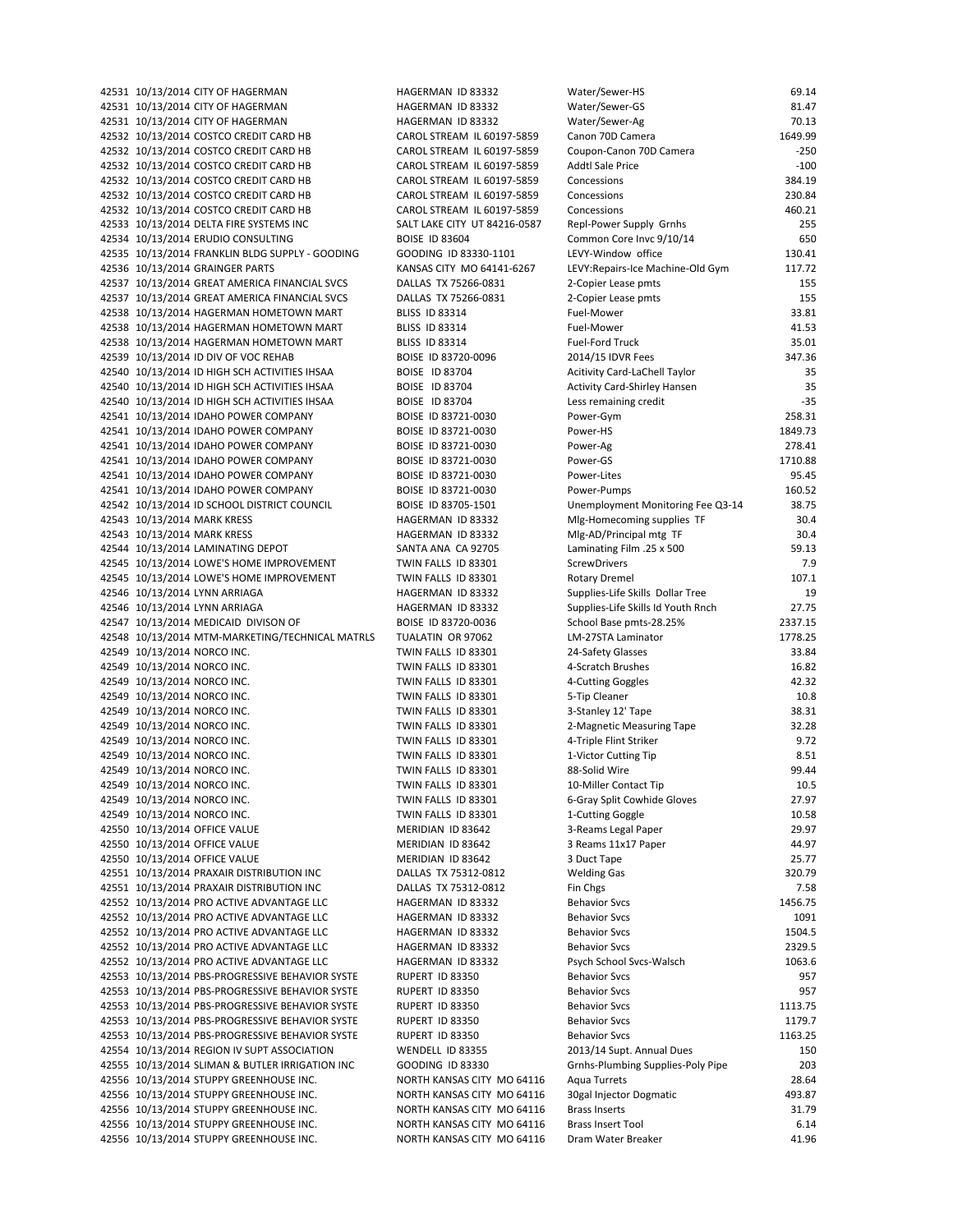42531 10/13/2014 CITY OF HAGERMAN **HAGERMAN ID 83332** W 42531 10/13/2014 CITY OF HAGERMAN MAGERMAN HAGERMAN ID 83332 42531 10/13/2014 CITY OF HAGERMAN HAGERMAN HAGERMAN ID 83332 42532 10/13/2014 COSTCO CREDIT CARD HB CAROL STREAM IL 60197-5859 C 42532 10/13/2014 COSTCO CREDIT CARD HB CAROL STREAM IL 60197-5859 C 42532 10/13/2014 COSTCO CREDIT CARD HB CAROL STREAM IL 60197-5859 A 42532 10/13/2014 COSTCO CREDIT CARD HB CAROL STREAM IL 60197-5859 C 42532 10/13/2014 COSTCO CREDIT CARD HB CAROL STREAM IL 60197-5859 C 42532 10/13/2014 COSTCO CREDIT CARD HB CAROL STREAM IL 60197-5859 C 42533 10/13/2014 DELTA FIRE SYSTEMS INC SALT LAKE CITY UT 84216-0587 42534 10/13/2014 ERUDIO CONSULTING BOISE ID 83604 COMMON CONSULTING 42535 10/13/2014 FRANKLIN BLDG SUPPLY - GOODING GOODING ID 83330-1101 LEV 42536 10/13/2014 GRAINGER PARTS KANSAS CITY MO 64141-6267 LEV 42537 10/13/2014 GREAT AMERICA FINANCIAL SVCS DALLAS TX 75266-0831 2 42537 10/13/2014 GREAT AMERICA FINANCIAL SVCS DALLAS TX 75266-0831 2 42538 10/13/2014 HAGERMAN HOMETOWN MART BLISS ID 83314 FUEL 42538 10/13/2014 HAGERMAN HOMETOWN MART BLISS ID 83314 F 42538 10/13/2014 HAGERMAN HOMETOWN MART BLISS ID 83314 FUEL 42539 10/13/2014 ID DIV OF VOC REHAB BOISE ID 83720-0096 42540 10/13/2014 ID HIGH SCH ACTIVITIES IHSAA BOISE ID 83704 Achiel Manual Manual Manual Manual Manual Manual 42540 10/13/2014 ID HIGH SCH ACTIVITIES IHSAA BOISE ID 83704 Activity Card Activity Card Activity Activity Activity A 42540 10/13/2014 ID HIGH SCH ACTIVITIES IHSAA BOISE ID 83704 LESS REMAINING CREDIT LESS REMAINING CREDIT CREDI 42541 10/13/2014 IDAHO POWER COMPANY BOISE ID 83721-0030 P 42541 10/13/2014 IDAHO POWER COMPANY BOISE ID 83721-0030 P 42541 10/13/2014 IDAHO POWER COMPANY BOISE ID 83721-0030 P 42541 10/13/2014 IDAHO POWER COMPANY BOISE ID 83721-0030 P 42541 10/13/2014 IDAHO POWER COMPANY BOISE ID 83721-0030 P 42541 10/13/2014 IDAHO POWER COMPANY BOISE ID 83721-0030 P 42542 10/13/2014 ID SCHOOL DISTRICT COUNCIL BOISE ID 83705-1501 UNEMPLOYER 42543 10/13/2014 MARK KRESS **HAGERMAN ID 83332** M 42543 10/13/2014 MARK KRESS NAGERMAN ID 83332 N 42544 10/13/2014 LAMINATING DEPOT SANTA ANA CA 92705 L 42545 10/13/2014 LOWE'S HOME IMPROVEMENT TWIN FALLS ID 83301 S 42545 10/13/2014 LOWE'S HOME IMPROVEMENT TWIN FALLS ID 83301 42546 10/13/2014 LYNN ARRIAGA HAGERMAN ID 83332 Supplies 42546 10/13/2014 LYNN ARRIAGA HAGERMAN ID 83332 S 42547 10/13/2014 MEDICAID DIVISON OF BOISE ID 83720-0036 S 42548 10/13/2014 MTM-MARKETING/TECHNICAL MATRLS TUALATIN OR 97062 L 42549 10/13/2014 NORCO INC. TWIN FALLS ID 83301 2549 10/13/2014 NORCO INC. 42549 10/13/2014 NORCO INC. TWIN FALLS ID 83301 4 42549 10/13/2014 NORCO INC. TWIN FALLS ID 83301 4 42549 10/13/2014 NORCO INC. TWIN FALLS ID 83301 5 42549 10/13/2014 NORCO INC. TWIN FALLS ID 83301 3 42549 10/13/2014 NORCO INC. TWIN FALLS ID 83301 2 42549 10/13/2014 NORCO INC. TWIN FALLS ID 83301 4 42549 10/13/2014 NORCO INC. TWIN FALLS ID 83301 1 42549 10/13/2014 NORCO INC. TWIN FALLS ID 83301 8 42549 10/13/2014 NORCO INC. TWIN FALLS ID 83301 10‐Miller Contact Tip 10.5 42549 10/13/2014 NORCO INC. TWIN FALLS ID 83301 6 42549 10/13/2014 NORCO INC. TWIN FALLS ID 83301 1 42550 10/13/2014 OFFICE VALUE MERIDIAN ID 83642 3 42550 10/13/2014 OFFICE VALUE MERIDIAN ID 83642 3 42550 10/13/2014 OFFICE VALUE 1 2008 MERIDIAN ID 83642 42551 10/13/2014 PRAXAIR DISTRIBUTION INC DALLAS TX 75312-0812 42551 10/13/2014 PRAXAIR DISTRIBUTION INC DALLAS TX 75312-0812 F 42552 10/13/2014 PRO ACTIVE ADVANTAGE LLC 
BHAGERMAN ID 83332

B 42552 10/13/2014 PRO ACTIVE ADVANTAGE LLC BAGERMAN ID 83332 42552 10/13/2014 PRO ACTIVE ADVANTAGE LLC HAGERMAN ID 83332 B 42552 10/13/2014 PRO ACTIVE ADVANTAGE LLC HAGERMAN ID 83332 B 42552 10/13/2014 PRO ACTIVE ADVANTAGE LLC 
PSYCHOL HAGERMAN ID 83332 42553 10/13/2014 PBS-PROGRESSIVE BEHAVIOR SYSTE RUPERT ID 83350 B 42553 10/13/2014 PBS-PROGRESSIVE BEHAVIOR SYSTE RUPERT ID 83350 Behavior Sverige B 42553 10/13/2014 PBS-PROGRESSIVE BEHAVIOR SYSTE RUPERT ID 83350 Behavior Superintendent 42553 10/13/2014 PBS-PROGRESSIVE BEHAVIOR SYSTE RUPERT ID 83350 Behavior Super 42553 10/13/2014 PBS-PROGRESSIVE BEHAVIOR SYSTE RUPERT ID 83350 Behavior Svc 42554 10/13/2014 REGION IV SUPT ASSOCIATION WENDELL ID 83355 42555 10/13/2014 SLIMAN & BUTLER IRRIGATION INC GOODING ID 83330 GREET ASSESS 42556 10/13/2014 STUPPY GREENHOUSE INC. NORTH KANSAS CITY MO 64116 42556 10/13/2014 STUPPY GREENHOUSE INC. NORTH KANSAS CITY MO 64116 3 42556 10/13/2014 STUPPY GREENHOUSE INC. NORTH KANSAS CITY MO 64116 B 42556 10/13/2014 STUPPY GREENHOUSE INC. NORTH KANSAS CITY MO 64116 B 42556 10/13/2014 STUPPY GREENHOUSE INC. NORTH KANSAS CITY MO 64116 D

| Vater/Sewer-HS                      | 69.14            |
|-------------------------------------|------------------|
| Vater/Sewer-GS                      | 81.47            |
| Vater/Sewer-Ag                      | 70.13            |
| Canon 70D Camera                    | 1649.99          |
| Coupon-Canon 70D Camera             | $-250$           |
| Addtl Sale Price                    | $-100$           |
| concessions.                        | 384.19           |
| concessions.<br>concessions.        | 230.84<br>460.21 |
| epl-Power Supply Grnhs              | 255              |
| Common Core Invc 9/10/14            | 650              |
| EVY-Window office                   | 130.41           |
| EVY:Repairs-Ice Machine-Old Gym     | 117.72           |
| -Copier Lease pmts                  | 155              |
| -Copier Lease pmts                  | 155              |
| uel-Mower <sup>:</sup>              | 33.81            |
| uel-Mower                           | 41.53            |
| uel-Ford Truck                      | 35.01            |
| !014/15 IDVR Fees                   | 347.36           |
| Acitivity Card-LaChell Taylor       | 35               |
| Activity Card-Shirley Hansen        | 35               |
| ess remaining credit                | $-35$            |
| ower-Gym                            | 258.31           |
| ower-HS                             | 1849.73          |
| ower-Ag                             | 278.41           |
| ower-GS'                            | 1710.88          |
| ower-Lites'                         | 95.45            |
| ower-Pumps                          | 160.52           |
| Jnemployment Monitoring Fee Q3-14   | 38.75            |
| Alg-Homecoming supplies TF          | 30.4             |
| Alg-AD/Principal mtg TF             | 30.4             |
| 500 aminating Film .25 x            | 59.13            |
| crewDrivers                         | 7.9              |
| <b>Rotary Dremel</b>                | 107.1            |
| upplies-Life Skills Dollar Tree     | 19               |
| upplies-Life Skills Id Youth Rnch   | 27.75            |
| chool Base pmts-28.25%              | 2337.15          |
| M-27STA Laminator                   | 1778.25          |
| 4-Safety Glasses!                   | 33.84            |
| -Scratch Brushes                    | 16.82            |
| -Cutting Goggles                    | 42.32            |
| -Tip Cleaner                        | 10.8             |
| -Stanley 12' Tape                   | 38.31            |
| -Magnetic Measuring Tape            | 32.28            |
| l-Triple Flint Striker              | 9.72             |
| -Victor Cutting Tip<br>8-Solid Wire | 8.51<br>99.44    |
| 0-Miller Contact Tip                | 10.5             |
| i-Gray Split Cowhide Gloves         | 27.97            |
| -Cutting Goggle                     | 10.58            |
| -Reams Legal Paper                  | 29.97            |
| Reams 11x17 Paper                   | 44.97            |
| Duct Tape                           | 25.77            |
| <b>Velding Gas</b>                  | 320.79           |
| in Chgs                             | 7.58             |
| Behavior Svcs                       | 1456.75          |
| <b>Behavior Svcs</b>                | 1091             |
| Behavior Svcs                       | 1504.5           |
| <b>Behavior Svcs</b>                | 2329.5           |
| 'sych School Svcs-Walsch            | 1063.6           |
| <b>Behavior Svcs</b>                | 957              |
| Behavior Svcs                       | 957              |
| Behavior Svcs                       | 1113.75          |
| Behavior Svcs                       | 1179.7           |
| <b>Behavior Svcs</b>                | 1163.25          |
| :013/14 Supt. Annual Dues           | 150              |
| Grnhs-Plumbing Supplies-Poly Pipe   | 203              |
| <b>Aqua Turrets</b>                 | 28.64            |
| Ogal Injector Dogmatic              | 493.87           |
| <b>Brass Inserts</b>                | 31.79            |
| <b>Brass Insert Tool</b>            | 6.14             |
| )ram Water Breaker                  | 41.96            |
|                                     |                  |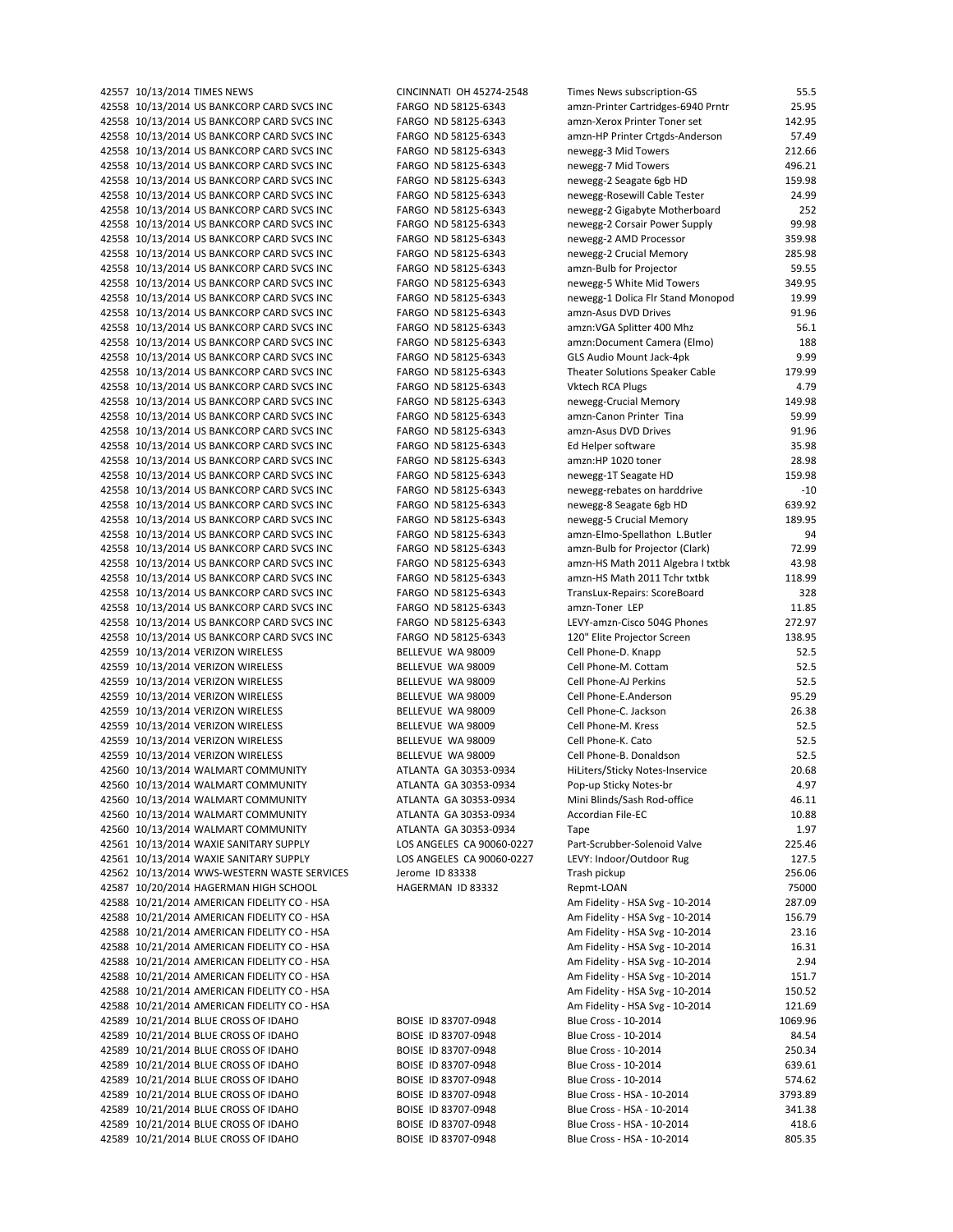| 42557 10/13/2014 TIMES NEWS                                                              | CINCINNATI OH 45274-2548                   | Times News subscription-GS                                           | 55.5             |
|------------------------------------------------------------------------------------------|--------------------------------------------|----------------------------------------------------------------------|------------------|
| 42558 10/13/2014 US BANKCORP CARD SVCS INC                                               | FARGO ND 58125-6343                        | amzn-Printer Cartridges-6940 Prntr                                   | 25.95            |
| 42558 10/13/2014 US BANKCORP CARD SVCS INC                                               | FARGO ND 58125-6343                        | amzn-Xerox Printer Toner set                                         | 142.95           |
| 42558 10/13/2014 US BANKCORP CARD SVCS INC                                               | FARGO ND 58125-6343                        | amzn-HP Printer Crtgds-Anderson                                      | 57.49            |
| 42558 10/13/2014 US BANKCORP CARD SVCS INC                                               | FARGO ND 58125-6343                        | newegg-3 Mid Towers                                                  | 212.66           |
| 42558 10/13/2014 US BANKCORP CARD SVCS INC                                               | FARGO ND 58125-6343                        | newegg-7 Mid Towers                                                  | 496.21           |
| 42558 10/13/2014 US BANKCORP CARD SVCS INC                                               | FARGO ND 58125-6343                        | newegg-2 Seagate 6gb HD                                              | 159.98           |
| 42558 10/13/2014 US BANKCORP CARD SVCS INC                                               | FARGO ND 58125-6343                        | newegg-Rosewill Cable Tester                                         | 24.99            |
| 42558 10/13/2014 US BANKCORP CARD SVCS INC                                               | FARGO ND 58125-6343                        | newegg-2 Gigabyte Motherboard                                        | 252              |
| 42558 10/13/2014 US BANKCORP CARD SVCS INC                                               | FARGO ND 58125-6343                        | newegg-2 Corsair Power Supply                                        | 99.98            |
| 42558 10/13/2014 US BANKCORP CARD SVCS INC                                               | FARGO ND 58125-6343                        | newegg-2 AMD Processor                                               | 359.98           |
| 42558 10/13/2014 US BANKCORP CARD SVCS INC                                               | FARGO ND 58125-6343                        | newegg-2 Crucial Memory                                              | 285.98           |
| 42558 10/13/2014 US BANKCORP CARD SVCS INC                                               | FARGO ND 58125-6343                        | amzn-Bulb for Projector                                              | 59.55            |
| 42558 10/13/2014 US BANKCORP CARD SVCS INC                                               | FARGO ND 58125-6343                        | newegg-5 White Mid Towers                                            | 349.95           |
| 42558 10/13/2014 US BANKCORP CARD SVCS INC                                               | FARGO ND 58125-6343                        | newegg-1 Dolica Flr Stand Monopod                                    | 19.99            |
| 42558 10/13/2014 US BANKCORP CARD SVCS INC                                               | FARGO ND 58125-6343                        | amzn-Asus DVD Drives                                                 | 91.96            |
| 42558 10/13/2014 US BANKCORP CARD SVCS INC                                               | FARGO ND 58125-6343                        | amzn: VGA Splitter 400 Mhz                                           | 56.1             |
| 42558 10/13/2014 US BANKCORP CARD SVCS INC                                               | FARGO ND 58125-6343                        | amzn:Document Camera (Elmo)                                          | 188              |
| 42558 10/13/2014 US BANKCORP CARD SVCS INC                                               | FARGO ND 58125-6343                        | GLS Audio Mount Jack-4pk                                             | 9.99             |
| 42558 10/13/2014 US BANKCORP CARD SVCS INC                                               | FARGO ND 58125-6343                        | Theater Solutions Speaker Cable                                      | 179.99           |
| 42558 10/13/2014 US BANKCORP CARD SVCS INC                                               | FARGO ND 58125-6343                        | <b>Vktech RCA Plugs</b>                                              | 4.79             |
| 42558 10/13/2014 US BANKCORP CARD SVCS INC                                               | FARGO ND 58125-6343                        | newegg-Crucial Memory                                                | 149.98           |
| 42558 10/13/2014 US BANKCORP CARD SVCS INC                                               | FARGO ND 58125-6343                        | amzn-Canon Printer Tina                                              | 59.99            |
| 42558 10/13/2014 US BANKCORP CARD SVCS INC                                               | FARGO ND 58125-6343                        | amzn-Asus DVD Drives                                                 | 91.96            |
| 42558 10/13/2014 US BANKCORP CARD SVCS INC                                               | FARGO ND 58125-6343                        | Ed Helper software                                                   | 35.98            |
| 42558 10/13/2014 US BANKCORP CARD SVCS INC                                               | FARGO ND 58125-6343                        | amzn:HP 1020 toner                                                   | 28.98<br>159.98  |
| 42558 10/13/2014 US BANKCORP CARD SVCS INC                                               | FARGO ND 58125-6343                        | newegg-1T Seagate HD                                                 |                  |
| 42558 10/13/2014 US BANKCORP CARD SVCS INC<br>42558 10/13/2014 US BANKCORP CARD SVCS INC | FARGO ND 58125-6343                        | newegg-rebates on harddrive                                          | $-10$            |
| 42558 10/13/2014 US BANKCORP CARD SVCS INC                                               | FARGO ND 58125-6343<br>FARGO ND 58125-6343 | newegg-8 Seagate 6gb HD                                              | 639.92<br>189.95 |
|                                                                                          |                                            | newegg-5 Crucial Memory                                              | 94               |
| 42558 10/13/2014 US BANKCORP CARD SVCS INC<br>42558 10/13/2014 US BANKCORP CARD SVCS INC | FARGO ND 58125-6343                        | amzn-Elmo-Spellathon L.Butler                                        | 72.99            |
| 42558 10/13/2014 US BANKCORP CARD SVCS INC                                               | FARGO ND 58125-6343<br>FARGO ND 58125-6343 | amzn-Bulb for Projector (Clark)<br>amzn-HS Math 2011 Algebra I txtbk | 43.98            |
| 42558 10/13/2014 US BANKCORP CARD SVCS INC                                               | FARGO ND 58125-6343                        | amzn-HS Math 2011 Tchr txtbk                                         | 118.99           |
| 42558 10/13/2014 US BANKCORP CARD SVCS INC                                               | FARGO ND 58125-6343                        | TransLux-Repairs: ScoreBoard                                         | 328              |
| 42558 10/13/2014 US BANKCORP CARD SVCS INC                                               | FARGO ND 58125-6343                        | amzn-Toner LEP                                                       | 11.85            |
| 42558 10/13/2014 US BANKCORP CARD SVCS INC                                               | FARGO ND 58125-6343                        | LEVY-amzn-Cisco 504G Phones                                          | 272.97           |
| 42558 10/13/2014 US BANKCORP CARD SVCS INC                                               | FARGO ND 58125-6343                        | 120" Elite Projector Screen                                          | 138.95           |
| 42559 10/13/2014 VERIZON WIRELESS                                                        | BELLEVUE WA 98009                          | Cell Phone-D. Knapp                                                  | 52.5             |
| 42559 10/13/2014 VERIZON WIRELESS                                                        | BELLEVUE WA 98009                          | Cell Phone-M. Cottam                                                 | 52.5             |
| 42559 10/13/2014 VERIZON WIRELESS                                                        | BELLEVUE WA 98009                          | Cell Phone-AJ Perkins                                                | 52.5             |
| 42559 10/13/2014 VERIZON WIRELESS                                                        | BELLEVUE WA 98009                          | Cell Phone-E.Anderson                                                | 95.29            |
| 42559 10/13/2014 VERIZON WIRELESS                                                        | BELLEVUE WA 98009                          | Cell Phone-C. Jackson                                                | 26.38            |
| 42559 10/13/2014 VERIZON WIRELESS                                                        | BELLEVUE WA 98009                          | Cell Phone-M. Kress                                                  | 52.5             |
| 42559 10/13/2014 VERIZON WIRELESS                                                        | BELLEVUE WA 98009                          | Cell Phone-K. Cato                                                   | 52.5             |
| 42559 10/13/2014 VERIZON WIRELESS                                                        | BELLEVUE WA 98009                          | Cell Phone-B. Donaldson                                              | 52.5             |
| 42560 10/13/2014 WALMART COMMUNITY                                                       | ATLANTA GA 30353-0934                      | HiLiters/Sticky Notes-Inservice                                      | 20.68            |
| 42560 10/13/2014 WALMART COMMUNITY                                                       | ATLANTA GA 30353-0934                      | Pop-up Sticky Notes-br                                               | 4.97             |
| 42560 10/13/2014 WALMART COMMUNITY                                                       | ATLANTA GA 30353-0934                      | Mini Blinds/Sash Rod-office                                          | 46.11            |
| 42560 10/13/2014 WALMART COMMUNITY                                                       | ATLANTA GA 30353-0934                      | Accordian File-EC                                                    | 10.88            |
| 42560 10/13/2014 WALMART COMMUNITY                                                       | ATLANTA GA 30353-0934                      | Tape                                                                 | 1.97             |
| 42561 10/13/2014 WAXIE SANITARY SUPPLY                                                   | LOS ANGELES CA 90060-0227                  | Part-Scrubber-Solenoid Valve                                         | 225.46           |
| 42561 10/13/2014 WAXIE SANITARY SUPPLY                                                   | LOS ANGELES CA 90060-0227                  | LEVY: Indoor/Outdoor Rug                                             | 127.5            |
| 42562 10/13/2014 WWS-WESTERN WASTE SERVICES                                              | Jerome ID 83338                            | Trash pickup                                                         | 256.06           |
| 42587 10/20/2014 HAGERMAN HIGH SCHOOL                                                    | HAGERMAN ID 83332                          | Repmt-LOAN                                                           | 75000            |
| 42588 10/21/2014 AMERICAN FIDELITY CO - HSA                                              |                                            | Am Fidelity - HSA Svg - 10-2014                                      | 287.09           |
| 42588 10/21/2014 AMERICAN FIDELITY CO - HSA                                              |                                            | Am Fidelity - HSA Svg - 10-2014                                      | 156.79           |
| 42588 10/21/2014 AMERICAN FIDELITY CO - HSA                                              |                                            | Am Fidelity - HSA Svg - 10-2014                                      | 23.16            |
| 42588 10/21/2014 AMERICAN FIDELITY CO - HSA                                              |                                            | Am Fidelity - HSA Svg - 10-2014                                      | 16.31            |
| 42588 10/21/2014 AMERICAN FIDELITY CO - HSA                                              |                                            | Am Fidelity - HSA Svg - 10-2014                                      | 2.94             |
| 42588 10/21/2014 AMERICAN FIDELITY CO - HSA                                              |                                            | Am Fidelity - HSA Svg - 10-2014                                      | 151.7            |
| 42588 10/21/2014 AMERICAN FIDELITY CO - HSA                                              |                                            | Am Fidelity - HSA Svg - 10-2014                                      | 150.52           |
| 42588 10/21/2014 AMERICAN FIDELITY CO - HSA                                              |                                            | Am Fidelity - HSA Svg - 10-2014                                      | 121.69           |
| 42589 10/21/2014 BLUE CROSS OF IDAHO                                                     | BOISE ID 83707-0948                        | Blue Cross - 10-2014                                                 | 1069.96          |
| 42589 10/21/2014 BLUE CROSS OF IDAHO                                                     | BOISE ID 83707-0948                        | Blue Cross - 10-2014                                                 | 84.54            |
| 42589 10/21/2014 BLUE CROSS OF IDAHO                                                     | BOISE ID 83707-0948                        | Blue Cross - 10-2014                                                 | 250.34           |
| 42589 10/21/2014 BLUE CROSS OF IDAHO                                                     | BOISE ID 83707-0948                        | Blue Cross - 10-2014                                                 | 639.61           |
| 42589 10/21/2014 BLUE CROSS OF IDAHO                                                     | BOISE ID 83707-0948                        | Blue Cross - 10-2014                                                 | 574.62           |
| 42589 10/21/2014 BLUE CROSS OF IDAHO                                                     | BOISE ID 83707-0948                        | Blue Cross - HSA - 10-2014                                           | 3793.89          |
| 42589 10/21/2014 BLUE CROSS OF IDAHO                                                     | BOISE ID 83707-0948                        | Blue Cross - HSA - 10-2014                                           | 341.38           |
| 42589 10/21/2014 BLUE CROSS OF IDAHO                                                     | BOISE ID 83707-0948                        | Blue Cross - HSA - 10-2014                                           | 418.6            |
| 42589 10/21/2014 BLUE CROSS OF IDAHO                                                     | BOISE ID 83707-0948                        | Blue Cross - HSA - 10-2014                                           | 805.35           |

| mes News subscription-GS                                         | 55.5             |
|------------------------------------------------------------------|------------------|
| mzn-Printer Cartridges-6940 Prntr                                | 25.95            |
| mzn-Xerox Printer Toner set                                      | 142.95           |
| mzn-HP Printer Crtgds-Anderson                                   | 57.49            |
| ewegg-3 Mid Towers<br>ewegg-7 Mid Towers                         | 212.66<br>496.21 |
| ewegg-2 Seagate 6gb HD                                           | 159.98           |
| ewegg-Rosewill Cable Tester                                      | 24.99            |
| ewegg-2 Gigabyte Motherboard                                     | 252              |
| ewegg-2 Corsair Power Supply                                     | 99.98            |
| ewegg-2 AMD Processor                                            | 359.98           |
| ewegg-2 Crucial Memory                                           | 285.98           |
| mzn-Bulb for Projector                                           | 59.55            |
| ewegg-5 White Mid Towers                                         | 349.95           |
| ewegg-1 Dolica Flr Stand Monopod                                 | 19.99            |
| mzn-Asus DVD Drives                                              | 91.96            |
| mzn:VGA Splitter 400 Mhz                                         | 56.1             |
| mzn:Document Camera (Elmo)                                       | 188              |
| LS Audio Mount Jack-4pk                                          | 9.99             |
| neater Solutions Speaker Cable                                   | 179.99           |
| ktech RCA Plugs<br>ewegg-Crucial Memory                          | 4.79<br>149.98   |
| mzn-Canon Printer Tina                                           | 59.99            |
| mzn-Asus DVD Drives                                              | 91.96            |
| d Helper software                                                | 35.98            |
| mzn:HP 1020 toner                                                | 28.98            |
| ewegg-1T Seagate HD                                              | 159.98           |
| ewegg-rebates on harddrive                                       | $-10$            |
| ewegg-8 Seagate 6gb HD                                           | 639.92           |
| ewegg-5 Crucial Memory                                           | 189.95           |
| mzn-Elmo-Spellathon L.Butler                                     | 94               |
| mzn-Bulb for Projector (Clark)                                   | 72.99            |
| mzn-HS Math 2011 Algebra I txtbk                                 | 43.98            |
| mzn-HS Math 2011 Tchr txtbk                                      | 118.99           |
| ansLux-Repairs: ScoreBoard                                       | 328              |
| mzn-Toner LEP                                                    | 11.85            |
| <b>EVY-amzn-Cisco 504G Phones</b>                                | 272.97           |
| 20" Elite Projector Screen<br>ell Phone-D. Knapp                 | 138.95<br>52.5   |
| ell Phone-M. Cottam                                              | 52.5             |
| ell Phone-AJ Perkins                                             | 52.5             |
| ell Phone-E.Anderson                                             | 95.29            |
| ell Phone-C. Jackson                                             | 26.38            |
| ell Phone-M. Kress                                               | 52.5             |
| ell Phone-K. Cato                                                | 52.5             |
| ell Phone-B. Donaldson                                           | 52.5             |
| iLiters/Sticky Notes-Inservice                                   | 20.68            |
| op-up Sticky Notes-br                                            | 4.97             |
| lini Blinds/Sash Rod-office                                      | 46.11            |
| ccordian File-EC                                                 | 10.88            |
| ape                                                              | 1.97             |
| art-Scrubber-Solenoid Valve                                      | 225.46           |
| :VY: Indoor/Outdoor Rug                                          | 127.5            |
| ash pickup <sup>-</sup>                                          | 256.06<br>75000  |
| epmt-LOAN                                                        | 287.09           |
| m Fidelity - HSA Svg - 10-2014<br>m Fidelity - HSA Svg - 10-2014 | 156.79           |
| m Fidelity - HSA Svg - 10-2014                                   | 23.16            |
| m Fidelity - HSA Svg - 10-2014                                   | 16.31            |
| m Fidelity - HSA Svg - 10-2014                                   | 2.94             |
| m Fidelity - HSA Svg - 10-2014                                   | 151.7            |
| m Fidelity - HSA Svg - 10-2014                                   | 150.52           |
| m Fidelity - HSA Svg - 10-2014                                   | 121.69           |
| lue Cross - 10-2014                                              | 1069.96          |
| lue Cross - 10-2014                                              | 84.54            |
| lue Cross - 10-2014                                              | 250.34           |
| lue Cross - 10-2014                                              | 639.61           |
| lue Cross - 10-2014                                              | 574.62           |
| lue Cross - HSA - 10-2014                                        | 3793.89          |
| lue Cross - HSA - 10-2014                                        | 341.38           |
| lue Cross - HSA - 10-2014                                        | 418.6            |
| lue Cross - HSA - 10-2014                                        | 805.35           |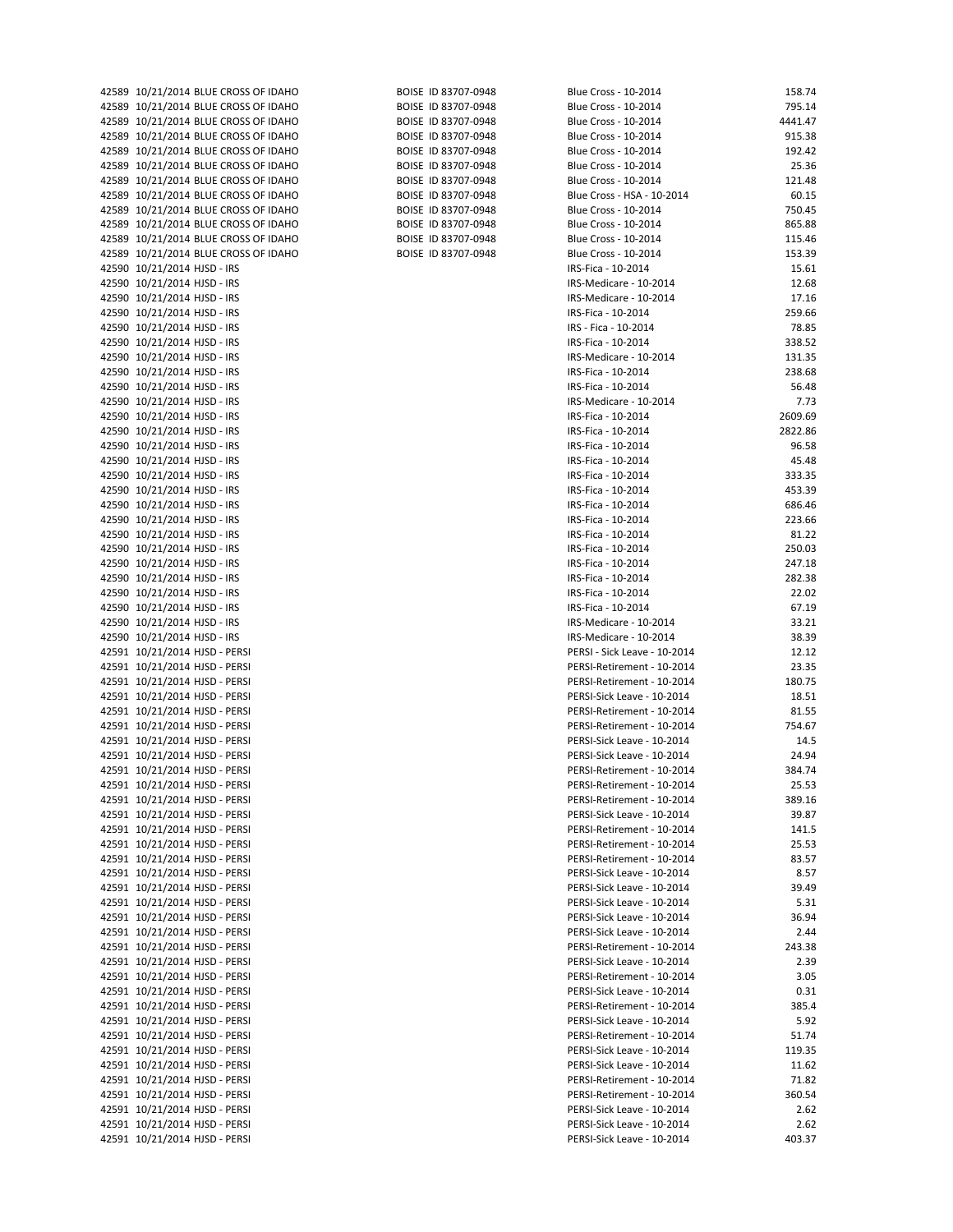| 42589 10/21/2014 BLUE CROSS OF IDAHO | BOISE ID 83707-0948 | Blue Cross - 10-2014         | 158.74  |
|--------------------------------------|---------------------|------------------------------|---------|
| 42589 10/21/2014 BLUE CROSS OF IDAHO | BOISE ID 83707-0948 | Blue Cross - 10-2014         | 795.14  |
| 42589 10/21/2014 BLUE CROSS OF IDAHO | BOISE ID 83707-0948 | Blue Cross - 10-2014         | 4441.47 |
| 42589 10/21/2014 BLUE CROSS OF IDAHO | BOISE ID 83707-0948 | Blue Cross - 10-2014         | 915.38  |
| 42589 10/21/2014 BLUE CROSS OF IDAHO | BOISE ID 83707-0948 | Blue Cross - 10-2014         | 192.42  |
| 42589 10/21/2014 BLUE CROSS OF IDAHO | BOISE ID 83707-0948 | Blue Cross - 10-2014         | 25.36   |
| 42589 10/21/2014 BLUE CROSS OF IDAHO | BOISE ID 83707-0948 | Blue Cross - 10-2014         |         |
|                                      |                     |                              | 121.48  |
| 42589 10/21/2014 BLUE CROSS OF IDAHO | BOISE ID 83707-0948 | Blue Cross - HSA - 10-2014   | 60.15   |
| 42589 10/21/2014 BLUE CROSS OF IDAHO | BOISE ID 83707-0948 | Blue Cross - 10-2014         | 750.45  |
| 42589 10/21/2014 BLUE CROSS OF IDAHO | BOISE ID 83707-0948 | Blue Cross - 10-2014         | 865.88  |
| 42589 10/21/2014 BLUE CROSS OF IDAHO | BOISE ID 83707-0948 | Blue Cross - 10-2014         | 115.46  |
| 42589 10/21/2014 BLUE CROSS OF IDAHO | BOISE ID 83707-0948 | Blue Cross - 10-2014         | 153.39  |
| 42590 10/21/2014 HJSD - IRS          |                     | IRS-Fica - 10-2014           | 15.61   |
| 42590 10/21/2014 HJSD - IRS          |                     | IRS-Medicare - 10-2014       | 12.68   |
|                                      |                     |                              |         |
| 42590 10/21/2014 HJSD - IRS          |                     | IRS-Medicare - 10-2014       | 17.16   |
| 42590 10/21/2014 HJSD - IRS          |                     | IRS-Fica - 10-2014           | 259.66  |
| 42590 10/21/2014 HJSD - IRS          |                     | IRS - Fica - 10-2014         | 78.85   |
| 42590 10/21/2014 HJSD - IRS          |                     | IRS-Fica - 10-2014           | 338.52  |
| 42590 10/21/2014 HJSD - IRS          |                     | IRS-Medicare - 10-2014       | 131.35  |
| 42590 10/21/2014 HJSD - IRS          |                     | IRS-Fica - 10-2014           | 238.68  |
| 42590 10/21/2014 HJSD - IRS          |                     | IRS-Fica - 10-2014           | 56.48   |
|                                      |                     |                              |         |
| 42590 10/21/2014 HJSD - IRS          |                     | IRS-Medicare - 10-2014       | 7.73    |
| 42590 10/21/2014 HJSD - IRS          |                     | IRS-Fica - 10-2014           | 2609.69 |
| 42590 10/21/2014 HJSD - IRS          |                     | IRS-Fica - 10-2014           | 2822.86 |
| 42590 10/21/2014 HJSD - IRS          |                     | IRS-Fica - 10-2014           | 96.58   |
| 42590 10/21/2014 HJSD - IRS          |                     | IRS-Fica - 10-2014           | 45.48   |
| 42590 10/21/2014 HJSD - IRS          |                     | IRS-Fica - 10-2014           | 333.35  |
| 42590 10/21/2014 HJSD - IRS          |                     |                              | 453.39  |
|                                      |                     | IRS-Fica - 10-2014           |         |
| 42590 10/21/2014 HJSD - IRS          |                     | IRS-Fica - 10-2014           | 686.46  |
| 42590 10/21/2014 HJSD - IRS          |                     | IRS-Fica - 10-2014           | 223.66  |
| 42590 10/21/2014 HJSD - IRS          |                     | IRS-Fica - 10-2014           | 81.22   |
| 42590 10/21/2014 HJSD - IRS          |                     | IRS-Fica - 10-2014           | 250.03  |
| 42590 10/21/2014 HJSD - IRS          |                     | IRS-Fica - 10-2014           | 247.18  |
| 42590 10/21/2014 HJSD - IRS          |                     | IRS-Fica - 10-2014           | 282.38  |
|                                      |                     |                              |         |
| 42590 10/21/2014 HJSD - IRS          |                     | IRS-Fica - 10-2014           | 22.02   |
| 42590 10/21/2014 HJSD - IRS          |                     | IRS-Fica - 10-2014           | 67.19   |
| 42590 10/21/2014 HJSD - IRS          |                     | IRS-Medicare - 10-2014       | 33.21   |
| 42590 10/21/2014 HJSD - IRS          |                     | IRS-Medicare - 10-2014       | 38.39   |
| 42591 10/21/2014 HJSD - PERSI        |                     | PERSI - Sick Leave - 10-2014 | 12.12   |
| 42591 10/21/2014 HJSD - PERSI        |                     | PERSI-Retirement - 10-2014   | 23.35   |
| 42591 10/21/2014 HJSD - PERSI        |                     | PERSI-Retirement - 10-2014   | 180.75  |
|                                      |                     |                              |         |
| 42591 10/21/2014 HJSD - PERSI        |                     | PERSI-Sick Leave - 10-2014   | 18.51   |
| 42591 10/21/2014 HJSD - PERSI        |                     | PERSI-Retirement - 10-2014   | 81.55   |
| 42591 10/21/2014 HJSD - PERSI        |                     | PERSI-Retirement - 10-2014   | 754.67  |
| 42591 10/21/2014 HJSD - PERSI        |                     | PERSI-Sick Leave - 10-2014   | 14.5    |
| 42591 10/21/2014 HJSD - PERSI        |                     | PERSI-Sick Leave - 10-2014   | 24.94   |
| 42591 10/21/2014 HJSD - PERSI        |                     | PERSI-Retirement - 10-2014   | 384.74  |
| 42591 10/21/2014 HJSD - PERSI        |                     | PERSI-Retirement - 10-2014   | 25.53   |
|                                      |                     |                              | 389.16  |
| 42591 10/21/2014 HJSD - PERSI        |                     | PERSI-Retirement - 10-2014   |         |
| 42591 10/21/2014 HJSD - PERSI        |                     | PERSI-Sick Leave - 10-2014   | 39.87   |
| 42591 10/21/2014 HJSD - PERSI        |                     | PERSI-Retirement - 10-2014   | 141.5   |
| 42591 10/21/2014 HJSD - PERSI        |                     | PERSI-Retirement - 10-2014   | 25.53   |
| 42591 10/21/2014 HJSD - PERSI        |                     | PERSI-Retirement - 10-2014   | 83.57   |
| 42591 10/21/2014 HJSD - PERSI        |                     | PERSI-Sick Leave - 10-2014   | 8.57    |
| 42591 10/21/2014 HJSD - PERSI        |                     | PERSI-Sick Leave - 10-2014   | 39.49   |
|                                      |                     |                              |         |
| 42591 10/21/2014 HJSD - PERSI        |                     | PERSI-Sick Leave - 10-2014   | 5.31    |
| 42591 10/21/2014 HJSD - PERSI        |                     | PERSI-Sick Leave - 10-2014   | 36.94   |
| 42591 10/21/2014 HJSD - PERSI        |                     | PERSI-Sick Leave - 10-2014   | 2.44    |
| 42591 10/21/2014 HJSD - PERSI        |                     | PERSI-Retirement - 10-2014   | 243.38  |
| 42591 10/21/2014 HJSD - PERSI        |                     | PERSI-Sick Leave - 10-2014   | 2.39    |
| 42591 10/21/2014 HJSD - PERSI        |                     | PERSI-Retirement - 10-2014   | 3.05    |
| 42591 10/21/2014 HJSD - PERSI        |                     | PERSI-Sick Leave - 10-2014   | 0.31    |
|                                      |                     |                              |         |
| 42591 10/21/2014 HJSD - PERSI        |                     | PERSI-Retirement - 10-2014   | 385.4   |
| 42591 10/21/2014 HJSD - PERSI        |                     | PERSI-Sick Leave - 10-2014   | 5.92    |
| 42591 10/21/2014 HJSD - PERSI        |                     | PERSI-Retirement - 10-2014   | 51.74   |
| 42591 10/21/2014 HJSD - PERSI        |                     | PERSI-Sick Leave - 10-2014   | 119.35  |
| 42591 10/21/2014 HJSD - PERSI        |                     | PERSI-Sick Leave - 10-2014   | 11.62   |
| 42591 10/21/2014 HJSD - PERSI        |                     | PERSI-Retirement - 10-2014   | 71.82   |
| 42591 10/21/2014 HJSD - PERSI        |                     | PERSI-Retirement - 10-2014   | 360.54  |
|                                      |                     |                              |         |
| 42591 10/21/2014 HJSD - PERSI        |                     | PERSI-Sick Leave - 10-2014   | 2.62    |
| 42591 10/21/2014 HJSD - PERSI        |                     | PERSI-Sick Leave - 10-2014   | 2.62    |
| 42591 10/21/2014 HJSD - PERSI        |                     | PERSI-Sick Leave - 10-2014   | 403.37  |
|                                      |                     |                              |         |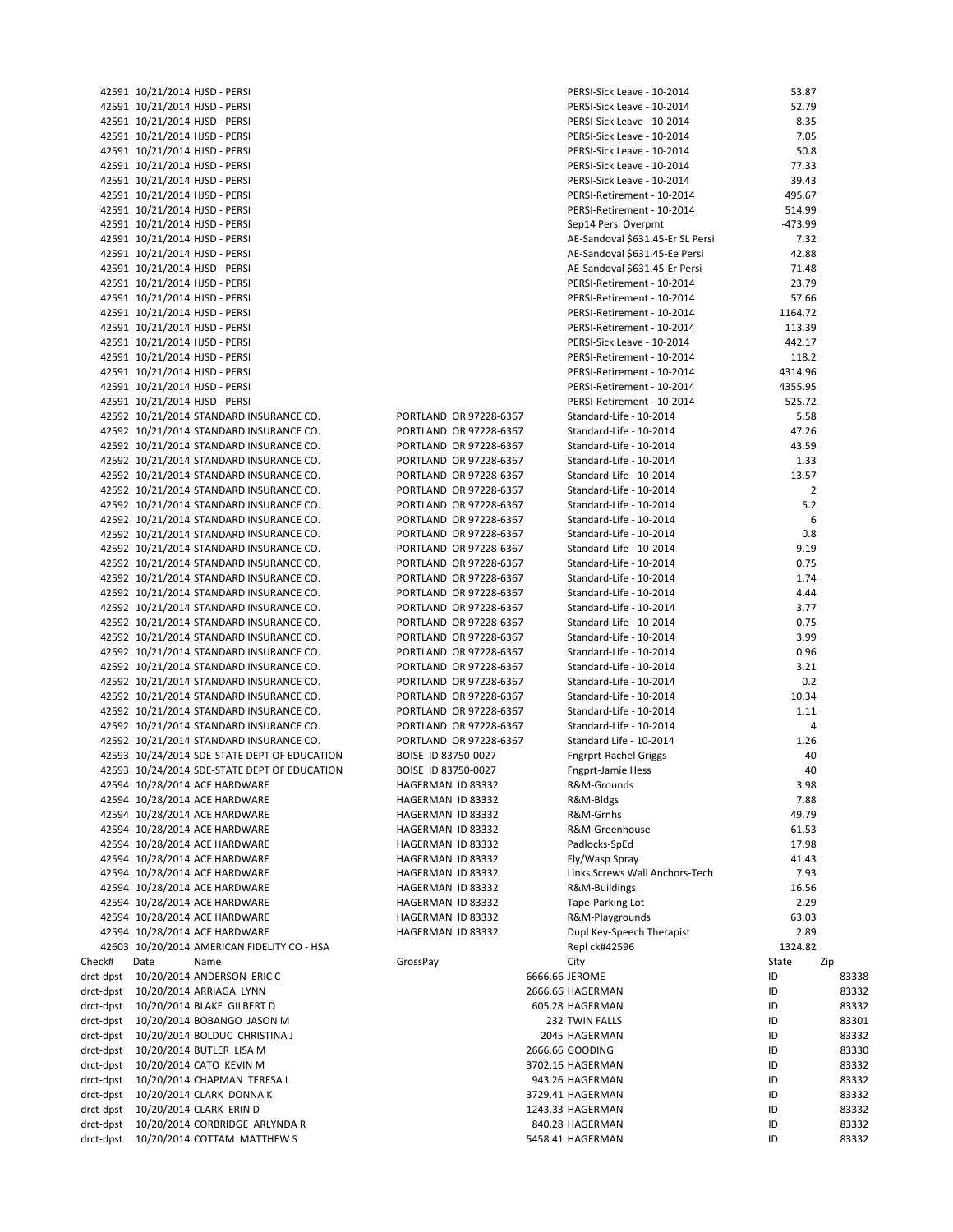|           |      | 42591 10/21/2014 HJSD - PERSI                |                        | PERSI-Sick Leave - 10-2014       | 53.87          |       |
|-----------|------|----------------------------------------------|------------------------|----------------------------------|----------------|-------|
|           |      | 42591 10/21/2014 HJSD - PERSI                |                        | PERSI-Sick Leave - 10-2014       | 52.79          |       |
|           |      | 42591 10/21/2014 HJSD - PERSI                |                        | PERSI-Sick Leave - 10-2014       | 8.35           |       |
|           |      | 42591 10/21/2014 HJSD - PERSI                |                        | PERSI-Sick Leave - 10-2014       | 7.05           |       |
|           |      | 42591 10/21/2014 HJSD - PERSI                |                        | PERSI-Sick Leave - 10-2014       | 50.8           |       |
|           |      | 42591 10/21/2014 HJSD - PERSI                |                        | PERSI-Sick Leave - 10-2014       | 77.33          |       |
|           |      | 42591 10/21/2014 HJSD - PERSI                |                        | PERSI-Sick Leave - 10-2014       | 39.43          |       |
|           |      | 42591 10/21/2014 HJSD - PERSI                |                        | PERSI-Retirement - 10-2014       | 495.67         |       |
|           |      | 42591 10/21/2014 HJSD - PERSI                |                        | PERSI-Retirement - 10-2014       | 514.99         |       |
|           |      | 42591 10/21/2014 HJSD - PERSI                |                        | Sep14 Persi Overpmt              | -473.99        |       |
|           |      | 42591 10/21/2014 HJSD - PERSI                |                        | AE-Sandoval \$631.45-Er SL Persi | 7.32           |       |
|           |      | 42591 10/21/2014 HJSD - PERSI                |                        | AE-Sandoval \$631.45-Ee Persi    | 42.88          |       |
|           |      | 42591 10/21/2014 HJSD - PERSI                |                        | AE-Sandoval \$631.45-Er Persi    | 71.48          |       |
|           |      | 42591 10/21/2014 HJSD - PERSI                |                        | PERSI-Retirement - 10-2014       | 23.79          |       |
|           |      | 42591 10/21/2014 HJSD - PERSI                |                        | PERSI-Retirement - 10-2014       | 57.66          |       |
|           |      | 42591 10/21/2014 HJSD - PERSI                |                        | PERSI-Retirement - 10-2014       | 1164.72        |       |
|           |      | 42591 10/21/2014 HJSD - PERSI                |                        | PERSI-Retirement - 10-2014       | 113.39         |       |
|           |      | 42591 10/21/2014 HJSD - PERSI                |                        | PERSI-Sick Leave - 10-2014       | 442.17         |       |
|           |      | 42591 10/21/2014 HJSD - PERSI                |                        | PERSI-Retirement - 10-2014       | 118.2          |       |
|           |      | 42591 10/21/2014 HJSD - PERSI                |                        | PERSI-Retirement - 10-2014       | 4314.96        |       |
|           |      | 42591 10/21/2014 HJSD - PERSI                |                        | PERSI-Retirement - 10-2014       | 4355.95        |       |
|           |      | 42591 10/21/2014 HJSD - PERSI                |                        | PERSI-Retirement - 10-2014       | 525.72         |       |
|           |      | 42592 10/21/2014 STANDARD INSURANCE CO.      | PORTLAND OR 97228-6367 | Standard-Life - 10-2014          | 5.58           |       |
|           |      | 42592 10/21/2014 STANDARD INSURANCE CO.      | PORTLAND OR 97228-6367 | Standard-Life - 10-2014          | 47.26          |       |
|           |      | 42592 10/21/2014 STANDARD INSURANCE CO.      | PORTLAND OR 97228-6367 | Standard-Life - 10-2014          | 43.59          |       |
|           |      | 42592 10/21/2014 STANDARD INSURANCE CO.      | PORTLAND OR 97228-6367 | Standard-Life - 10-2014          | 1.33           |       |
|           |      | 42592 10/21/2014 STANDARD INSURANCE CO.      | PORTLAND OR 97228-6367 | Standard-Life - 10-2014          | 13.57          |       |
|           |      | 42592 10/21/2014 STANDARD INSURANCE CO.      | PORTLAND OR 97228-6367 | Standard-Life - 10-2014          | $\overline{2}$ |       |
|           |      | 42592 10/21/2014 STANDARD INSURANCE CO.      | PORTLAND OR 97228-6367 | Standard-Life - 10-2014          | 5.2            |       |
|           |      | 42592 10/21/2014 STANDARD INSURANCE CO.      | PORTLAND OR 97228-6367 | Standard-Life - 10-2014          | 6              |       |
|           |      | 42592 10/21/2014 STANDARD INSURANCE CO.      | PORTLAND OR 97228-6367 | Standard-Life - 10-2014          | 0.8            |       |
|           |      | 42592 10/21/2014 STANDARD INSURANCE CO.      | PORTLAND OR 97228-6367 | Standard-Life - 10-2014          | 9.19           |       |
|           |      | 42592 10/21/2014 STANDARD INSURANCE CO.      | PORTLAND OR 97228-6367 | Standard-Life - 10-2014          | 0.75           |       |
|           |      | 42592 10/21/2014 STANDARD INSURANCE CO.      | PORTLAND OR 97228-6367 | Standard-Life - 10-2014          | 1.74           |       |
|           |      | 42592 10/21/2014 STANDARD INSURANCE CO.      | PORTLAND OR 97228-6367 | Standard-Life - 10-2014          | 4.44           |       |
|           |      | 42592 10/21/2014 STANDARD INSURANCE CO.      | PORTLAND OR 97228-6367 | Standard-Life - 10-2014          | 3.77           |       |
|           |      | 42592 10/21/2014 STANDARD INSURANCE CO.      | PORTLAND OR 97228-6367 | Standard-Life - 10-2014          | 0.75           |       |
|           |      | 42592 10/21/2014 STANDARD INSURANCE CO.      | PORTLAND OR 97228-6367 | Standard-Life - 10-2014          | 3.99           |       |
|           |      | 42592 10/21/2014 STANDARD INSURANCE CO.      | PORTLAND OR 97228-6367 | Standard-Life - 10-2014          | 0.96           |       |
|           |      | 42592 10/21/2014 STANDARD INSURANCE CO.      | PORTLAND OR 97228-6367 | Standard-Life - 10-2014          | 3.21           |       |
|           |      | 42592 10/21/2014 STANDARD INSURANCE CO.      | PORTLAND OR 97228-6367 | Standard-Life - 10-2014          | 0.2            |       |
|           |      | 42592 10/21/2014 STANDARD INSURANCE CO.      | PORTLAND OR 97228-6367 | Standard-Life - 10-2014          | 10.34          |       |
|           |      | 42592 10/21/2014 STANDARD INSURANCE CO.      | PORTLAND OR 97228-6367 | Standard-Life - 10-2014          | 1.11           |       |
|           |      | 42592 10/21/2014 STANDARD INSURANCE CO.      | PORTLAND OR 97228-6367 | Standard-Life - 10-2014          | 4              |       |
|           |      | 42592 10/21/2014 STANDARD INSURANCE CO.      | PORTLAND OR 97228-6367 | Standard Life - 10-2014          | 1.26           |       |
|           |      | 42593 10/24/2014 SDE-STATE DEPT OF EDUCATION | BOISE ID 83750-0027    | <b>Fngrprt-Rachel Griggs</b>     | 40             |       |
|           |      | 42593 10/24/2014 SDE-STATE DEPT OF EDUCATION | BOISE ID 83750-0027    | <b>Fngprt-Jamie Hess</b>         | 40             |       |
|           |      | 42594 10/28/2014 ACE HARDWARE                | HAGERMAN ID 83332      | R&M-Grounds                      | 3.98           |       |
|           |      | 42594 10/28/2014 ACE HARDWARE                | HAGERMAN ID 83332      | R&M-Bldgs                        | 7.88           |       |
|           |      | 42594 10/28/2014 ACE HARDWARE                |                        |                                  |                |       |
|           |      |                                              | HAGERMAN ID 83332      | R&M-Grnhs<br>R&M-Greenhouse      | 49.79          |       |
|           |      | 42594 10/28/2014 ACE HARDWARE                | HAGERMAN ID 83332      | Padlocks-SpEd                    | 61.53          |       |
|           |      | 42594 10/28/2014 ACE HARDWARE                | HAGERMAN ID 83332      |                                  | 17.98          |       |
|           |      | 42594 10/28/2014 ACE HARDWARE                | HAGERMAN ID 83332      | Fly/Wasp Spray                   | 41.43          |       |
|           |      | 42594 10/28/2014 ACE HARDWARE                | HAGERMAN ID 83332      | Links Screws Wall Anchors-Tech   | 7.93           |       |
|           |      | 42594 10/28/2014 ACE HARDWARE                | HAGERMAN ID 83332      | R&M-Buildings                    | 16.56          |       |
|           |      | 42594 10/28/2014 ACE HARDWARE                | HAGERMAN ID 83332      | Tape-Parking Lot                 | 2.29           |       |
|           |      | 42594 10/28/2014 ACE HARDWARE                | HAGERMAN ID 83332      | R&M-Playgrounds                  | 63.03          |       |
|           |      | 42594 10/28/2014 ACE HARDWARE                | HAGERMAN ID 83332      | Dupl Key-Speech Therapist        | 2.89           |       |
|           |      | 42603 10/20/2014 AMERICAN FIDELITY CO - HSA  |                        | Repl ck#42596                    | 1324.82        |       |
| Check#    | Date | Name                                         | GrossPay               | City                             | State          | Zip   |
| drct-dpst |      | 10/20/2014 ANDERSON ERIC C                   |                        | 6666.66 JEROME                   | ID             | 83338 |
| drct-dpst |      | 10/20/2014 ARRIAGA LYNN                      |                        | 2666.66 HAGERMAN                 | ID             | 83332 |
|           |      | drct-dpst 10/20/2014 BLAKE GILBERT D         |                        | 605.28 HAGERMAN                  | ID             | 83332 |
| drct-dpst |      | 10/20/2014 BOBANGO JASON M                   |                        | 232 TWIN FALLS                   | ID             | 83301 |
| drct-dpst |      | 10/20/2014 BOLDUC CHRISTINA J                |                        | 2045 HAGERMAN                    | ID             | 83332 |
| drct-dpst |      | 10/20/2014 BUTLER LISA M                     |                        | 2666.66 GOODING                  | ID             | 83330 |
| drct-dpst |      | 10/20/2014 CATO KEVIN M                      |                        | 3702.16 HAGERMAN                 | ID             | 83332 |
| drct-dpst |      | 10/20/2014 CHAPMAN TERESA L                  |                        | 943.26 HAGERMAN                  | ID             | 83332 |
| drct-dpst |      | 10/20/2014 CLARK DONNA K                     |                        | 3729.41 HAGERMAN                 | ID             | 83332 |
| drct-dpst |      | 10/20/2014 CLARK ERIN D                      |                        | 1243.33 HAGERMAN                 | ID             | 83332 |
| drct-dpst |      | 10/20/2014 CORBRIDGE ARLYNDA R               |                        | 840.28 HAGERMAN                  | ID             | 83332 |
| drct-dpst |      | 10/20/2014 COTTAM MATTHEW S                  |                        | 5458.41 HAGERMAN                 | ID             | 83332 |
|           |      |                                              |                        |                                  |                |       |

| PORTLAND<br>OR 97228-6367   |
|-----------------------------|
| PORTLAND<br>OR 97228-6367   |
| OR 97228-6367<br>PORTLAND   |
| PORTLAND<br>OR 97228-6367   |
| OR 97228-6367<br>PORTLAND   |
| OR 97228-6367<br>PORTLAND   |
| OR 97228-6367<br>PORTLAND   |
| PORTLAND<br>OR 97228-6367   |
| PORTLAND<br>OR 97228-6367   |
| OR 97228-6367<br>PORTLAND   |
| OR 97228-6367<br>PORTLAND   |
| PORTLAND<br>OR 97228-6367   |
| OR 97228-6367<br>PORTLAND   |
| OR 97228-6367<br>PORTLAND   |
| PORTLAND<br>OR 97228-6367   |
| PORTLAND<br>OR 97228-6367   |
| OR 97228-6367<br>PORTLAND   |
| PORTLAND<br>OR 97228-6367   |
| OR 97228-6367<br>PORTLAND   |
| OR 97228-6367<br>PORTLAND   |
| PORTLAND<br>OR 97228-6367   |
| OR 97228-6367<br>PORTLAND   |
| OR 97228-6367<br>PORTLAND   |
| BOISE ID 83750-0027         |
| BOISE ID 83750-0027         |
| HAGERMAN<br>ID 83332        |
| HAGERMAN<br>ID 83332        |
| HAGERMAN<br>ID 83332        |
| <b>HAGERMAN</b><br>ID 83332 |
| HAGERMAN<br>ID 83332        |
| HAGERMAN<br>ID 83332        |
| HAGERMAN<br>ID 83332        |
| HAGERMAN<br>ID 83332        |
| HAGERMAN<br>ID 83332        |
| HAGERMAN<br>ID 83332        |
| HAGERMAN<br>ID 83332        |
| GrossPay                    |

|                        | 42591 10/21/2014 HJSD - PERSI                                                      |                                                  | PERSI-Sick Leave - 10-2014                         | 53.87          |                |
|------------------------|------------------------------------------------------------------------------------|--------------------------------------------------|----------------------------------------------------|----------------|----------------|
|                        | 42591 10/21/2014 HJSD - PERSI                                                      |                                                  | PERSI-Sick Leave - 10-2014                         | 52.79          |                |
|                        | 42591 10/21/2014 HJSD - PERSI                                                      |                                                  | PERSI-Sick Leave - 10-2014                         | 8.35           |                |
|                        | 42591 10/21/2014 HJSD - PERSI                                                      |                                                  | PERSI-Sick Leave - 10-2014                         | 7.05           |                |
|                        | 42591 10/21/2014 HJSD - PERSI                                                      |                                                  | PERSI-Sick Leave - 10-2014                         | 50.8           |                |
|                        | 42591 10/21/2014 HJSD - PERSI                                                      |                                                  | PERSI-Sick Leave - 10-2014                         | 77.33          |                |
|                        | 42591 10/21/2014 HJSD - PERSI                                                      |                                                  | PERSI-Sick Leave - 10-2014                         | 39.43          |                |
|                        | 42591 10/21/2014 HJSD - PERSI                                                      |                                                  | PERSI-Retirement - 10-2014                         | 495.67         |                |
|                        | 42591 10/21/2014 HJSD - PERSI                                                      |                                                  | PERSI-Retirement - 10-2014                         | 514.99         |                |
|                        | 42591 10/21/2014 HJSD - PERSI                                                      |                                                  | Sep14 Persi Overpmt                                | -473.99        |                |
|                        | 42591 10/21/2014 HJSD - PERSI                                                      |                                                  | AE-Sandoval \$631.45-Er SL Persi                   | 7.32           |                |
|                        | 42591 10/21/2014 HJSD - PERSI                                                      |                                                  | AE-Sandoval \$631.45-Ee Persi                      | 42.88          |                |
|                        | 42591 10/21/2014 HJSD - PERSI                                                      |                                                  | AE-Sandoval \$631.45-Er Persi                      | 71.48          |                |
|                        | 42591 10/21/2014 HJSD - PERSI                                                      |                                                  | PERSI-Retirement - 10-2014                         | 23.79          |                |
|                        | 42591 10/21/2014 HJSD - PERSI                                                      |                                                  | PERSI-Retirement - 10-2014                         | 57.66          |                |
|                        | 42591 10/21/2014 HJSD - PERSI                                                      |                                                  | PERSI-Retirement - 10-2014                         | 1164.72        |                |
|                        | 42591 10/21/2014 HJSD - PERSI                                                      |                                                  | PERSI-Retirement - 10-2014                         | 113.39         |                |
|                        | 42591 10/21/2014 HJSD - PERSI                                                      |                                                  | PERSI-Sick Leave - 10-2014                         | 442.17         |                |
|                        | 42591 10/21/2014 HJSD - PERSI                                                      |                                                  | PERSI-Retirement - 10-2014                         | 118.2          |                |
|                        | 42591 10/21/2014 HJSD - PERSI                                                      |                                                  | PERSI-Retirement - 10-2014                         | 4314.96        |                |
|                        | 42591 10/21/2014 HJSD - PERSI                                                      |                                                  | PERSI-Retirement - 10-2014                         | 4355.95        |                |
|                        | 42591 10/21/2014 HJSD - PERSI                                                      |                                                  | PERSI-Retirement - 10-2014                         | 525.72         |                |
|                        | 42592 10/21/2014 STANDARD INSURANCE CO.<br>42592 10/21/2014 STANDARD INSURANCE CO. | PORTLAND OR 97228-6367<br>PORTLAND OR 97228-6367 | Standard-Life - 10-2014<br>Standard-Life - 10-2014 | 5.58<br>47.26  |                |
|                        | 42592 10/21/2014 STANDARD INSURANCE CO.                                            | PORTLAND OR 97228-6367                           | Standard-Life - 10-2014                            | 43.59          |                |
|                        | 42592 10/21/2014 STANDARD INSURANCE CO.                                            | PORTLAND OR 97228-6367                           | Standard-Life - 10-2014                            | 1.33           |                |
|                        | 42592 10/21/2014 STANDARD INSURANCE CO.                                            | PORTLAND OR 97228-6367                           | Standard-Life - 10-2014                            | 13.57          |                |
|                        | 42592 10/21/2014 STANDARD INSURANCE CO.                                            | PORTLAND OR 97228-6367                           | Standard-Life - 10-2014                            | $\overline{2}$ |                |
|                        | 42592 10/21/2014 STANDARD INSURANCE CO.                                            | PORTLAND OR 97228-6367                           | Standard-Life - 10-2014                            | 5.2            |                |
|                        | 42592 10/21/2014 STANDARD INSURANCE CO.                                            | PORTLAND OR 97228-6367                           | Standard-Life - 10-2014                            | 6              |                |
|                        | 42592 10/21/2014 STANDARD INSURANCE CO.                                            | PORTLAND OR 97228-6367                           | Standard-Life - 10-2014                            | 0.8            |                |
|                        | 42592 10/21/2014 STANDARD INSURANCE CO.                                            | PORTLAND OR 97228-6367                           | Standard-Life - 10-2014                            | 9.19           |                |
|                        | 42592 10/21/2014 STANDARD INSURANCE CO.                                            | PORTLAND OR 97228-6367                           | Standard-Life - 10-2014                            | 0.75           |                |
|                        | 42592 10/21/2014 STANDARD INSURANCE CO.                                            | PORTLAND OR 97228-6367                           | Standard-Life - 10-2014                            | 1.74           |                |
|                        | 42592 10/21/2014 STANDARD INSURANCE CO.                                            | PORTLAND OR 97228-6367                           | Standard-Life - 10-2014                            | 4.44           |                |
|                        | 42592 10/21/2014 STANDARD INSURANCE CO.                                            | PORTLAND OR 97228-6367                           | Standard-Life - 10-2014                            | 3.77           |                |
|                        | 42592 10/21/2014 STANDARD INSURANCE CO.                                            | PORTLAND OR 97228-6367                           | Standard-Life - 10-2014                            | 0.75           |                |
|                        | 42592 10/21/2014 STANDARD INSURANCE CO.                                            | PORTLAND OR 97228-6367                           | Standard-Life - 10-2014                            | 3.99           |                |
|                        | 42592 10/21/2014 STANDARD INSURANCE CO.                                            | PORTLAND OR 97228-6367                           | Standard-Life - 10-2014                            | 0.96           |                |
|                        | 42592 10/21/2014 STANDARD INSURANCE CO.                                            | PORTLAND OR 97228-6367                           | Standard-Life - 10-2014                            | 3.21           |                |
|                        | 42592 10/21/2014 STANDARD INSURANCE CO.                                            | PORTLAND OR 97228-6367                           | Standard-Life - 10-2014                            | 0.2            |                |
|                        | 42592 10/21/2014 STANDARD INSURANCE CO.                                            | PORTLAND OR 97228-6367                           | Standard-Life - 10-2014                            | 10.34          |                |
|                        | 42592 10/21/2014 STANDARD INSURANCE CO.                                            | PORTLAND OR 97228-6367                           | Standard-Life - 10-2014                            | 1.11           |                |
|                        | 42592 10/21/2014 STANDARD INSURANCE CO.                                            | PORTLAND OR 97228-6367                           | Standard-Life - 10-2014                            | 4              |                |
|                        | 42592 10/21/2014 STANDARD INSURANCE CO.                                            | PORTLAND OR 97228-6367                           | Standard Life - 10-2014                            | 1.26           |                |
|                        | 42593 10/24/2014 SDE-STATE DEPT OF EDUCATION                                       | BOISE ID 83750-0027                              | <b>Fngrprt-Rachel Griggs</b>                       | 40             |                |
|                        | 42593 10/24/2014 SDE-STATE DEPT OF EDUCATION                                       | BOISE ID 83750-0027                              | Fngprt-Jamie Hess                                  | 40             |                |
|                        | 42594 10/28/2014 ACE HARDWARE                                                      | HAGERMAN ID 83332                                | R&M-Grounds                                        | 3.98           |                |
|                        | 42594 10/28/2014 ACE HARDWARE                                                      | HAGERMAN ID 83332                                | R&M-Bldgs                                          | 7.88           |                |
|                        | 42594 10/28/2014 ACE HARDWARE                                                      | HAGERMAN ID 83332                                | R&M-Grnhs                                          | 49.79          |                |
|                        | 42594 10/28/2014 ACE HARDWARE                                                      | HAGERMAN ID 83332                                | R&M-Greenhouse                                     | 61.53          |                |
|                        | 42594 10/28/2014 ACE HARDWARE                                                      | HAGERMAN ID 83332                                | Padlocks-SpEd                                      | 17.98          |                |
|                        | 42594 10/28/2014 ACE HARDWARE                                                      | HAGERMAN ID 83332                                | Fly/Wasp Spray                                     | 41.43          |                |
|                        | 42594 10/28/2014 ACE HARDWARE                                                      | HAGERMAN ID 83332                                | Links Screws Wall Anchors-Tech                     | 7.93           |                |
|                        | 42594 10/28/2014 ACE HARDWARE                                                      | HAGERMAN ID 83332                                | R&M-Buildings                                      | 16.56          |                |
|                        | 42594 10/28/2014 ACE HARDWARE                                                      | HAGERMAN ID 83332                                | Tape-Parking Lot                                   | 2.29           |                |
|                        | 42594 10/28/2014 ACE HARDWARE                                                      | HAGERMAN ID 83332                                | R&M-Playgrounds                                    | 63.03          |                |
|                        | 42594 10/28/2014 ACE HARDWARE                                                      | HAGERMAN ID 83332                                | Dupl Key-Speech Therapist                          | 2.89           |                |
|                        | 42603 10/20/2014 AMERICAN FIDELITY CO - HSA                                        |                                                  | Repl ck#42596                                      | 1324.82        |                |
| Check#                 | Date<br>Name                                                                       | GrossPay                                         | City                                               | State          | Zip            |
| drct-dpst              | 10/20/2014 ANDERSON ERIC C                                                         |                                                  | 6666.66 JEROME                                     | ID             | 83338          |
| drct-dpst              | 10/20/2014 ARRIAGA LYNN                                                            |                                                  | 2666.66 HAGERMAN                                   | ID             | 83332          |
| drct-dpst              | 10/20/2014 BLAKE GILBERT D                                                         |                                                  | 605.28 HAGERMAN                                    | ID             | 83332          |
| drct-dpst              | 10/20/2014 BOBANGO JASON M                                                         |                                                  | 232 TWIN FALLS                                     | ID             | 83301          |
| drct-dpst              | 10/20/2014 BOLDUC CHRISTINA J                                                      |                                                  | 2045 HAGERMAN                                      | ID             | 83332          |
| drct-dpst              | 10/20/2014 BUTLER LISA M                                                           |                                                  | 2666.66 GOODING                                    | ID             | 83330          |
| drct-dpst              | 10/20/2014 CATO KEVIN M                                                            |                                                  | 3702.16 HAGERMAN                                   | ID             | 83332          |
| drct-dpst              | 10/20/2014 CHAPMAN TERESA L                                                        |                                                  | 943.26 HAGERMAN                                    | ID             | 83332          |
| drct-dpst<br>drct-dpst | 10/20/2014 CLARK DONNA K<br>10/20/2014 CLARK ERIN D                                |                                                  | 3729.41 HAGERMAN<br>1243.33 HAGERMAN               | ID<br>ID       | 83332<br>83332 |
| drct-dpst              | 10/20/2014 CORBRIDGE ARLYNDA R                                                     |                                                  | 840.28 HAGERMAN                                    | ID             | 83332          |
| $4$ and $4$ and $4$    | 10/30/3014 COTTANA NAATTUEWC                                                       |                                                  | <b>EAEO A1 LIACEDMAAN</b>                          |                | 0222           |